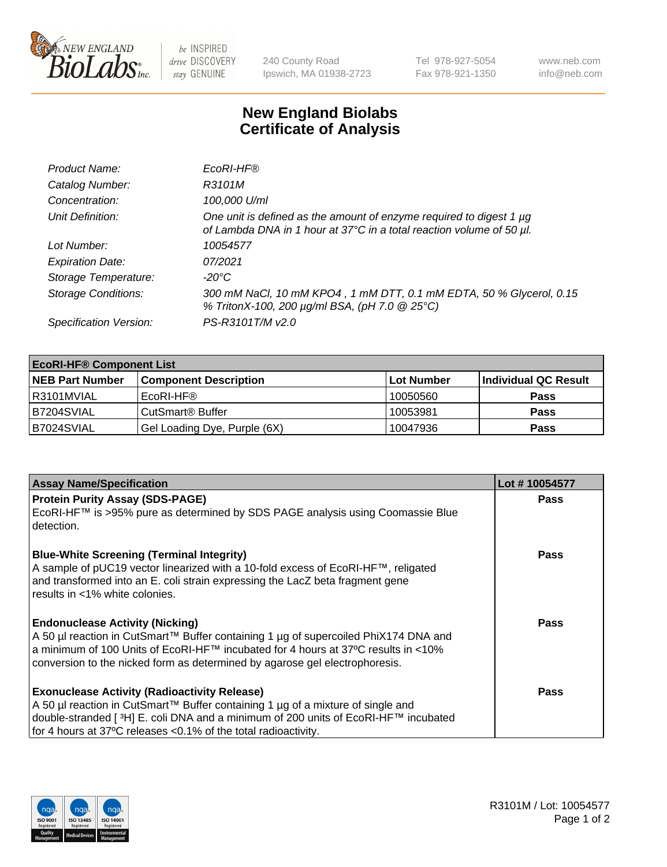

 $be$  INSPIRED drive DISCOVERY stay GENUINE

240 County Road Ipswich, MA 01938-2723 Tel 978-927-5054 Fax 978-921-1350 www.neb.com info@neb.com

## **New England Biolabs Certificate of Analysis**

| Product Name:              | EcoRI-HF®                                                                                                                                   |
|----------------------------|---------------------------------------------------------------------------------------------------------------------------------------------|
| Catalog Number:            | R3101M                                                                                                                                      |
| Concentration:             | 100,000 U/ml                                                                                                                                |
| Unit Definition:           | One unit is defined as the amount of enzyme required to digest 1 µg<br>of Lambda DNA in 1 hour at 37°C in a total reaction volume of 50 µl. |
| Lot Number:                | 10054577                                                                                                                                    |
| <b>Expiration Date:</b>    | 07/2021                                                                                                                                     |
| Storage Temperature:       | -20°C                                                                                                                                       |
| <b>Storage Conditions:</b> | 300 mM NaCl, 10 mM KPO4, 1 mM DTT, 0.1 mM EDTA, 50 % Glycerol, 0.15<br>% TritonX-100, 200 µg/ml BSA, (pH 7.0 @ 25°C)                        |
| Specification Version:     | PS-R3101T/M v2.0                                                                                                                            |

| <b>EcoRI-HF® Component List</b> |                              |            |                      |  |  |
|---------------------------------|------------------------------|------------|----------------------|--|--|
| <b>NEB Part Number</b>          | <b>Component Description</b> | Lot Number | Individual QC Result |  |  |
| I R3101MVIAL                    | EcoRI-HF®                    | 10050560   | <b>Pass</b>          |  |  |
| B7204SVIAL                      | CutSmart <sup>®</sup> Buffer | 10053981   | <b>Pass</b>          |  |  |
| B7024SVIAL                      | Gel Loading Dye, Purple (6X) | 10047936   | <b>Pass</b>          |  |  |

| <b>Assay Name/Specification</b>                                                                                                                                                                                                                                                                    | Lot #10054577 |
|----------------------------------------------------------------------------------------------------------------------------------------------------------------------------------------------------------------------------------------------------------------------------------------------------|---------------|
| <b>Protein Purity Assay (SDS-PAGE)</b><br>EcoRI-HF™ is >95% pure as determined by SDS PAGE analysis using Coomassie Blue<br>detection.                                                                                                                                                             | <b>Pass</b>   |
| <b>Blue-White Screening (Terminal Integrity)</b><br>A sample of pUC19 vector linearized with a 10-fold excess of EcoRI-HF™, religated<br>and transformed into an E. coli strain expressing the LacZ beta fragment gene<br>results in <1% white colonies.                                           | <b>Pass</b>   |
| <b>Endonuclease Activity (Nicking)</b><br>A 50 µl reaction in CutSmart™ Buffer containing 1 µg of supercoiled PhiX174 DNA and<br> a minimum of 100 Units of EcoRI-HF™ incubated for 4 hours at 37ºC results in <10%<br>conversion to the nicked form as determined by agarose gel electrophoresis. | Pass          |
| <b>Exonuclease Activity (Radioactivity Release)</b><br>  A 50 µl reaction in CutSmart™ Buffer containing 1 µg of a mixture of single and<br>double-stranded [3H] E. coli DNA and a minimum of 200 units of EcoRI-HF™ incubated<br>for 4 hours at 37°C releases <0.1% of the total radioactivity.   | Pass          |